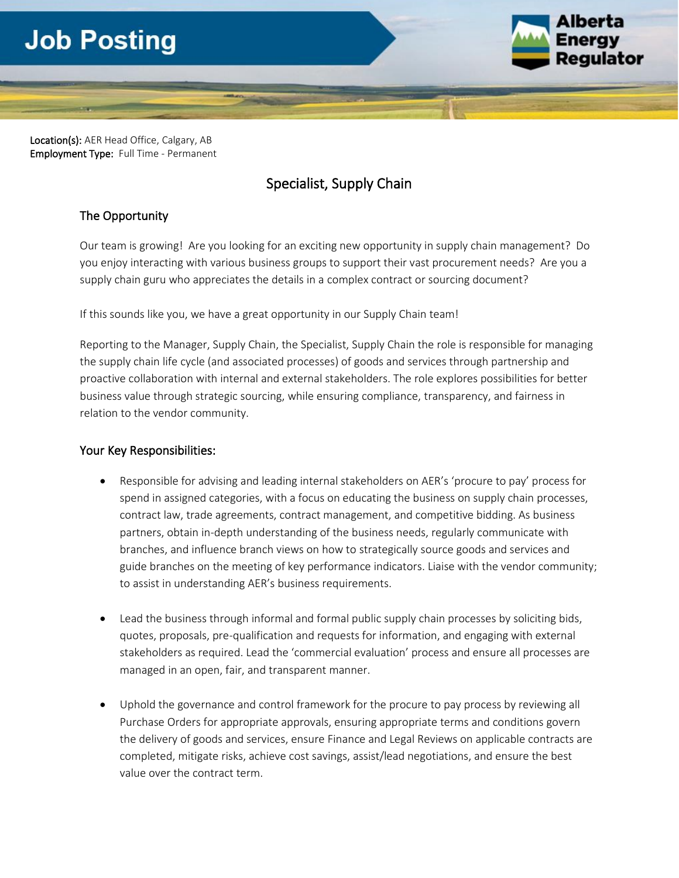# **Job Posting**



Location(s): AER Head Office, Calgary, AB Employment Type: Full Time - Permanent

# Specialist, Supply Chain

# The Opportunity

Our team is growing! Are you looking for an exciting new opportunity in supply chain management? Do you enjoy interacting with various business groups to support their vast procurement needs? Are you a supply chain guru who appreciates the details in a complex contract or sourcing document?

If this sounds like you, we have a great opportunity in our Supply Chain team!

Reporting to the Manager, Supply Chain, the Specialist, Supply Chain the role is responsible for managing the supply chain life cycle (and associated processes) of goods and services through partnership and proactive collaboration with internal and external stakeholders. The role explores possibilities for better business value through strategic sourcing, while ensuring compliance, transparency, and fairness in relation to the vendor community.

# Your Key Responsibilities:

- Responsible for advising and leading internal stakeholders on AER's 'procure to pay' process for spend in assigned categories, with a focus on educating the business on supply chain processes, contract law, trade agreements, contract management, and competitive bidding. As business partners, obtain in-depth understanding of the business needs, regularly communicate with branches, and influence branch views on how to strategically source goods and services and guide branches on the meeting of key performance indicators. Liaise with the vendor community; to assist in understanding AER's business requirements.
- Lead the business through informal and formal public supply chain processes by soliciting bids, quotes, proposals, pre-qualification and requests for information, and engaging with external stakeholders as required. Lead the 'commercial evaluation' process and ensure all processes are managed in an open, fair, and transparent manner.
- Uphold the governance and control framework for the procure to pay process by reviewing all Purchase Orders for appropriate approvals, ensuring appropriate terms and conditions govern the delivery of goods and services, ensure Finance and Legal Reviews on applicable contracts are completed, mitigate risks, achieve cost savings, assist/lead negotiations, and ensure the best value over the contract term.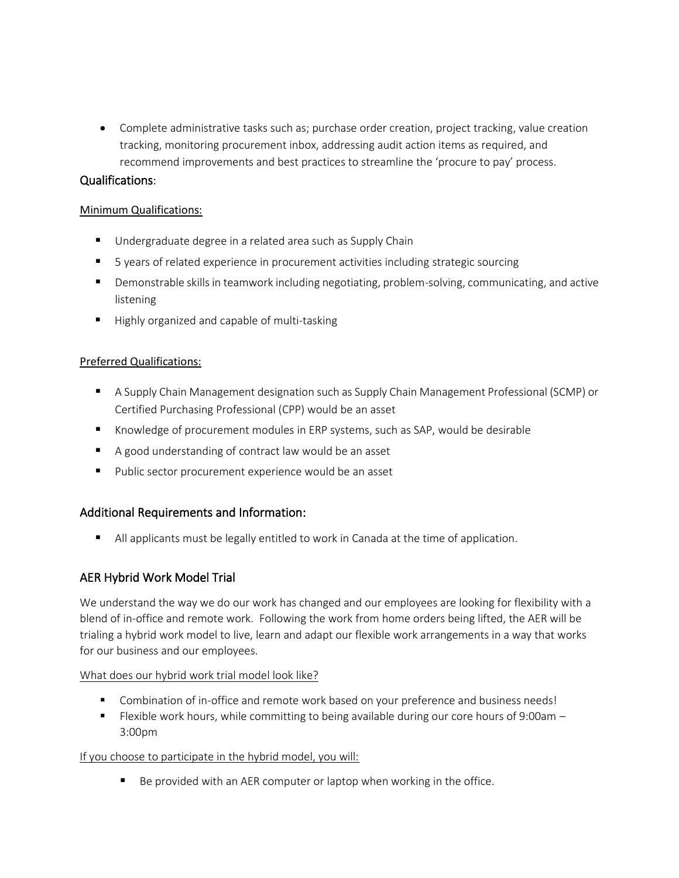• Complete administrative tasks such as; purchase order creation, project tracking, value creation tracking, monitoring procurement inbox, addressing audit action items as required, and recommend improvements and best practices to streamline the 'procure to pay' process.

#### Qualifications:

#### Minimum Qualifications:

- Undergraduate degree in a related area such as Supply Chain
- 5 years of related experience in procurement activities including strategic sourcing
- **■** Demonstrable skills in teamwork including negotiating, problem-solving, communicating, and active listening
- Highly organized and capable of multi-tasking

#### Preferred Qualifications:

- A Supply Chain Management designation such as Supply Chain Management Professional (SCMP) or Certified Purchasing Professional (CPP) would be an asset
- Knowledge of procurement modules in ERP systems, such as SAP, would be desirable
- A good understanding of contract law would be an asset
- Public sector procurement experience would be an asset

# Additional Requirements and Information:

■ All applicants must be legally entitled to work in Canada at the time of application.

# AER Hybrid Work Model Trial

We understand the way we do our work has changed and our employees are looking for flexibility with a blend of in-office and remote work. Following the work from home orders being lifted, the AER will be trialing a hybrid work model to live, learn and adapt our flexible work arrangements in a way that works for our business and our employees.

#### What does our hybrid work trial model look like?

- Combination of in-office and remote work based on your preference and business needs!
- Flexible work hours, while committing to being available during our core hours of 9:00am 3:00pm

#### If you choose to participate in the hybrid model, you will:

■ Be provided with an AER computer or laptop when working in the office.